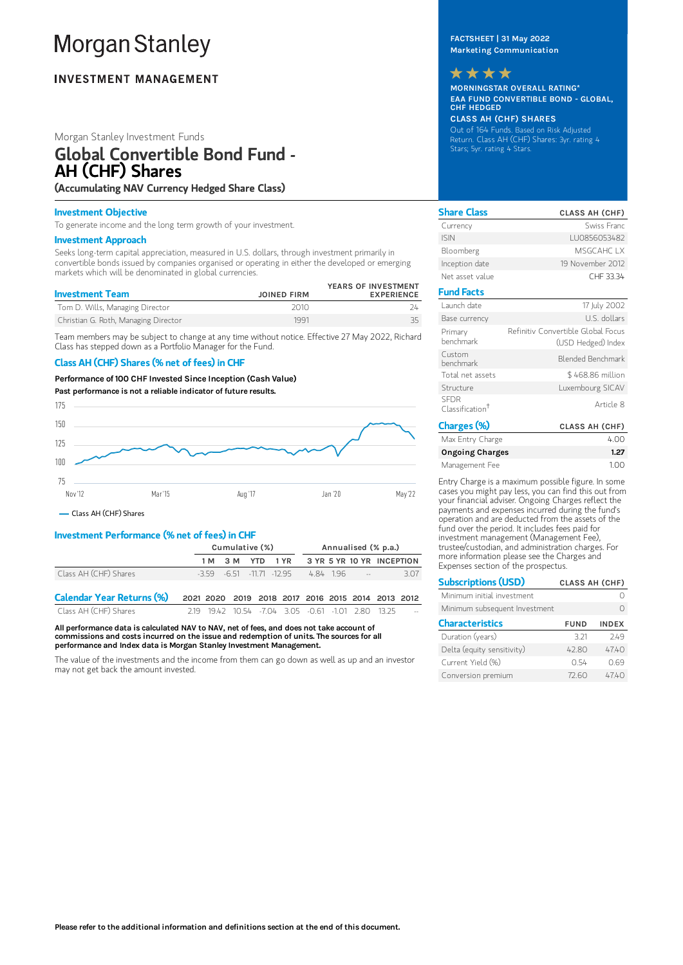# **Morgan Stanley**

# **INVESTMENT MANAGEMENT**

## Morgan Stanley Investment Funds

# Global Convertible Bond Fund - AH (CHF) Shares

(Accumulating NAV Currency Hedged Share Class)

#### Investment Objective

To generate income and the long term growth of your investment.

#### Investment Approach

Seeks long-term capital appreciation, measured in U.S. dollars, through investment primarily in convertible bonds issued by companies organised or operating in either the developed or emerging markets which will be denominated in global currencies.

| <b>Investment Team</b>               | <b>JOINED FIRM</b> | YEARS OF INVESTMENT<br><b>EXPERIENCE</b> |
|--------------------------------------|--------------------|------------------------------------------|
| Tom D. Wills, Managing Director      | 2010               |                                          |
| Christian G. Roth, Managing Director | 1991               |                                          |

Team members may be subject to change at any time without notice. Effective 27 May 2022, Richard Class has stepped down as a Portfolio Manager for the Fund.

## Class AH (CHF) Shares (% net of fees) in CHF

Performance of 100 CHF Invested Since Inception (Cash Value)

Past performance is not a reliable indicator of future results.



Class AH (CHF) Shares

# Investment Performance (% net of fees) in CHF

|                                  | Cumulative (%)                                    |                  |  | Annualised (% p.a.)                                  |  |  |  |                           |      |
|----------------------------------|---------------------------------------------------|------------------|--|------------------------------------------------------|--|--|--|---------------------------|------|
|                                  |                                                   | 1 M 3 M YTD 1 YR |  |                                                      |  |  |  | 3 YR 5 YR 10 YR INCEPTION |      |
| Class AH (CHF) Shares            |                                                   |                  |  | $-3.59$ $-6.51$ $-11.71$ $-12.95$ $-4.84$ $1.96$ $-$ |  |  |  |                           | 3.07 |
| <b>Calendar Year Returns (%)</b> | 2021 2020 2019 2018 2017 2016 2015 2014 2013 2012 |                  |  |                                                      |  |  |  |                           |      |
| Class AH (CHF) Shares            |                                                   |                  |  | 2.19 19.42 10.54 -7.04 3.05 -0.61 -1.01 2.80 13.25   |  |  |  |                           |      |

All performance data is calculated NAV to NAV, net of fees, and does not take account of commissions and costs incurred on the issue and redemption of units. The sources for all performance and Index data is Morgan Stanley Investment Management.

The value of the investments and the income from them can go down as well as up and an investor may not get back the amount invested.

FACTSHEET | 31 May 2022 Marketing Communication



MORNINGSTAR OVERALL RATING\* EAA FUND CONVERTIBLE BOND - GLOBAL, CHF HEDGED

# CLASS AH (CHF) SHARES

Out of 164 Funds. Based on Risk Adjusted Return. Class AH (CHF) Shares: 3yr. rating 4 Stars; 5yr. rating 4 Stars.

| <b>Share Class</b>                         | <b>CLASS AH (CHF)</b>                                    |
|--------------------------------------------|----------------------------------------------------------|
| Currency                                   | Swiss Franc                                              |
| <b>ISIN</b>                                | LU0856053482                                             |
| Bloomberg                                  | MSGCAHC IX                                               |
| Inception date                             | 19 November 2012                                         |
| Net asset value                            | CHF 33.34                                                |
| <b>Fund Facts</b>                          |                                                          |
| Launch date                                | 17 July 2002                                             |
| Base currency                              | U.S. dollars                                             |
| Primary<br>henchmark                       | Refinitiv Convertible Global Focus<br>(USD Hedged) Index |
| Custom<br>henchmark                        | Blended Benchmark                                        |
| Total net assets                           | \$468.86 million                                         |
| Structure                                  | Luxembourg SICAV                                         |
| <b>SEDR</b><br>Classification <sup>t</sup> | Article 8                                                |
| $\sim$                                     |                                                          |

| Charges (%)            | <b>CLASS AH (CHF)</b> |
|------------------------|-----------------------|
| Max Entry Charge       | 4.00                  |
| <b>Ongoing Charges</b> | 1.27                  |
| Management Fee         | 100                   |

Entry Charge is a maximum possible figure. In some cases you might pay less, you can find this out from your financial adviser. Ongoing Charges reflect the payments and expenses incurred during the fund's operation and are deducted from the assets of the fund over the period. It includes fees paid for investment management (Management Fee), trustee/custodian, and administration charges. For more information please see the Charges and Expenses section of the prospectus.

| <b>Subscriptions (USD)</b>    | <b>CLASS AH (CHF)</b> |              |  |
|-------------------------------|-----------------------|--------------|--|
| Minimum initial investment    |                       |              |  |
| Minimum subsequent Investment |                       |              |  |
| <b>Characteristics</b>        | <b>FUND</b>           | <b>INDEX</b> |  |
| Duration (years)              | 3.21                  | 749          |  |
| Delta (equity sensitivity)    | 4280                  | 4740         |  |
| Current Yield (%)             | 0.54                  | 0.69         |  |
| Conversion premium            | 72.60                 | 47.40        |  |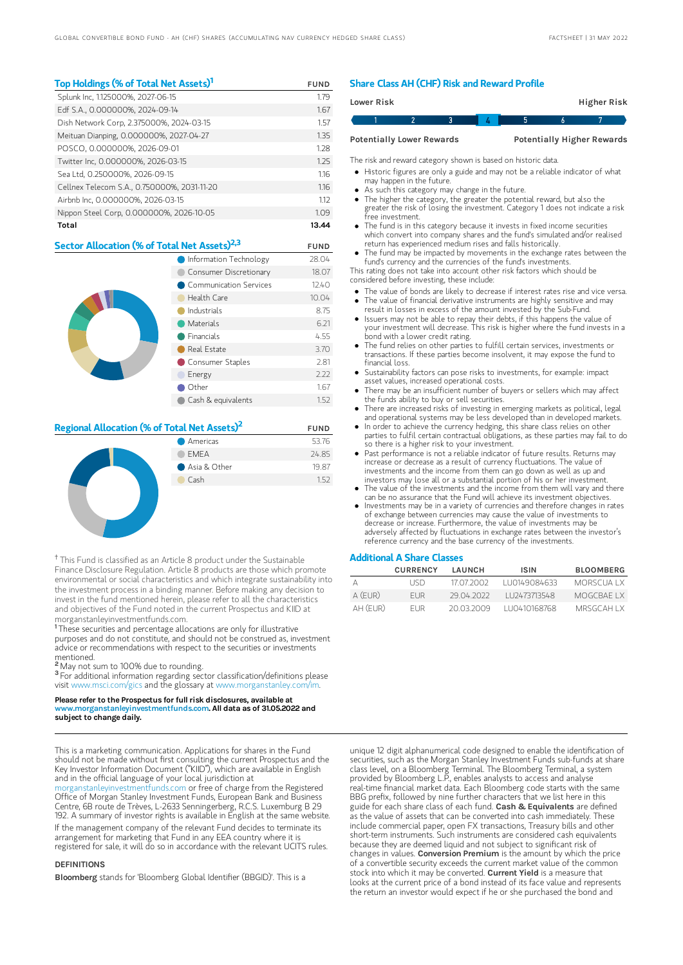## Top Holdings (% of Total Net Assets)<sup>1</sup> FUND

| Splunk Inc, 1.125000%, 2027-06-15           | 1.79  |
|---------------------------------------------|-------|
| Edf S.A., 0.000000%, 2024-09-14             | 1.67  |
| Dish Network Corp, 2.375000%, 2024-03-15    | 1.57  |
| Meituan Dianping, 0.000000%, 2027-04-27     | 1.35  |
| POSCO, 0.000000%, 2026-09-01                | 1.28  |
| Twitter Inc, 0.000000%, 2026-03-15          | 1.25  |
| Sea Ltd, 0.250000%, 2026-09-15              | 116   |
| Cellnex Telecom S.A., 0.750000%, 2031-11-20 | 1.16  |
| Airbnb Inc, 0.000000%, 2026-03-15           | 1.12  |
| Nippon Steel Corp, 0.000000%, 2026-10-05    | 1.09  |
| Total                                       | 13.44 |

## Sector Allocation (% of Total Net Assets)<sup>2,3</sup> FUND

|  | Information Technology    | 28.04 |
|--|---------------------------|-------|
|  | Consumer Discretionary    | 18.07 |
|  | • Communication Services  | 12.40 |
|  | Health Care               | 10.04 |
|  | Industrials               | 8.75  |
|  | Materials                 | 6.21  |
|  | $\blacksquare$ Financials | 4.55  |
|  | Real Estate               | 3.70  |
|  | Consumer Staples          | 2.81  |
|  | Energy                    | 2.22  |
|  | Other                     | 1.67  |
|  | Cash & equivalents        | 1.52  |

## **Regional Allocation (% of Total Net Assets)<sup>2</sup>** FUND



<sup>†</sup> This Fund is classified as an Article 8 product under the Sustainable Finance Disclosure Regulation. Article 8 products are those which promote environmental or social characteristics and which integrate sustainability into the investment process in a binding manner. Before making any decision to invest in the fund mentioned herein, please refer to all the characteristics and objectives of the Fund noted in the current Prospectus and KIID at morganstanleyinvestmentfunds.com.

<sup>1</sup>These securities and percentage allocations are only for illustrative purposes and do not constitute, and should not be construed as, investment advice or recommendations with respect to the securities or investments mentioned.

<sup>2</sup> May not sum to 100% due to rounding.

<sup>3</sup> For additional information regarding sector classification/definitions please visit www.msci.com/gics and the glossary at www.morganstanley.com/im.

#### Please refer to the Prospectus for full risk disclosures, available at ww.morganstanleyinvestmentfunds.com<mark>. All data as of 31.05.2022 and</mark> subject to change daily.

This is a marketing communication. Applications for shares in the Fund should not be made without first consulting the current Prospectus and the Key Investor Information Document ("KIID"), which are available in English and in the official language of your local jurisdiction at

organstanleyinvestmentfunds.com or free of charge from the Registered Office of Morgan Stanley Investment Funds, European Bank and Business Centre, 6B route de Trèves, L-2633 Senningerberg, R.C.S. Luxemburg B 29 192. A summary of investor rights is available in English at the same website. If the management company of the relevant Fund decides to terminate its arrangement for marketing that Fund in any EEA country where it is registered for sale, it will do so in accordance with the relevant UCITS rules.

#### DEFINITIONS

Bloomberg stands for 'Bloomberg Global Identifier (BBGID)'. This is a

#### Share Class AH (CHF) Risk and Reward Profile

| Lower Risk |                                  |  |  | Higher Risk                       |  |
|------------|----------------------------------|--|--|-----------------------------------|--|
|            |                                  |  |  |                                   |  |
|            | <b>Potentially Lower Rewards</b> |  |  | <b>Potentially Higher Rewards</b> |  |

The risk and reward category shown is based on historic data.

- Historic figures are only a guide and may not be a reliable indicator of what may happen in the future.
- As such this category may change in the future.
- The higher the category, the greater the potential reward, but also the greater the risk of losing the investment. Category 1 does not indicate a risk free investment.
- The fund is in this category because it invests in fixed income securities which convert into company shares and the fund's simulated and/or realised return has experienced medium rises and falls historically.
- The fund may be impacted by movements in the exchange rates between the fund's currency and the currencies of the fund's investments.

This rating does not take into account other risk factors which should be considered before investing, these include:

- The value of bonds are likely to decrease if interest rates rise and vice versa.
- The value of financial derivative instruments are highly sensitive and may result in losses in excess of the amount invested by the Sub-Fund. Issuers may not be able to repay their debts, if this happens the value of
- your investment will decrease. This risk is higher where the fund invests in a bond with a lower credit rating. The fund relies on other parties to fulfill certain services, investments or
- transactions. If these parties become insolvent, it may expose the fund to financial loss.
- Sustainability factors can pose risks to investments, for example: impact asset values, increased operational costs.
- There may be an insufficient number of buyers or sellers which may affect the funds ability to buy or sell securities.
- There are increased risks of investing in emerging markets as political, legal and operational systems may be less developed than in developed markets.
- In order to achieve the currency hedging, this share class relies on other parties to fulfil certain contractual obligations, as these parties may fail to do so there is a higher risk to your investment.
- Past performance is not a reliable indicator of future results. Returns may increase or decrease as a result of currency fluctuations. The value of investments and the income from them can go down as well as up and
- investors may lose all or a substantial portion of his or her investment. The value of the investments and the income from them will vary and there can be no assurance that the Fund will achieve its investment objectives.
- Investments may be in a variety of currencies and therefore changes in rates of exchange between currencies may cause the value of investments to decrease or increase. Furthermore, the value of investments may be adversely affected by fluctuations in exchange rates between the investor's reference currency and the base currency of the investments.

#### Additional A Share Classes

|           | <b>CURRENCY</b> | LAUNCH     | <b>ISIN</b>   | <b>BLOOMBERG</b> |
|-----------|-----------------|------------|---------------|------------------|
|           | I ISD           | 17.07.2002 | 1110149084633 | MORSCUALX        |
| $A$ (FUR) | FUR.            | 29 04 2022 | LU2473713548  | MOGCBAE I X      |
| AH (FUR)  | FUR.            | 20.03.2009 | LU0410168768  | MRSGCAH I X      |

unique 12 digit alphanumerical code designed to enable the identification of securities, such as the Morgan Stanley Investment Funds sub-funds at share class level, on a Bloomberg Terminal. The Bloomberg Terminal, a system provided by Bloomberg L.P., enables analysts to access and analyse real-time financial market data. Each Bloomberg code starts with the same BBG prefix, followed by nine further characters that we list here in this guide for each share class of each fund. Cash & Equivalents are defined as the value of assets that can be converted into cash immediately. These include commercial paper, open FX transactions, Treasury bills and other short-term instruments. Such instruments are considered cash equivalents because they are deemed liquid and not subject to significant risk of changes in values. **Conversion Premium** is the amount by which the price of a convertible security exceeds the current market value of the common stock into which it may be converted. Current Yield is a measure that looks at the current price of a bond instead of its face value and represents the return an investor would expect if he or she purchased the bond and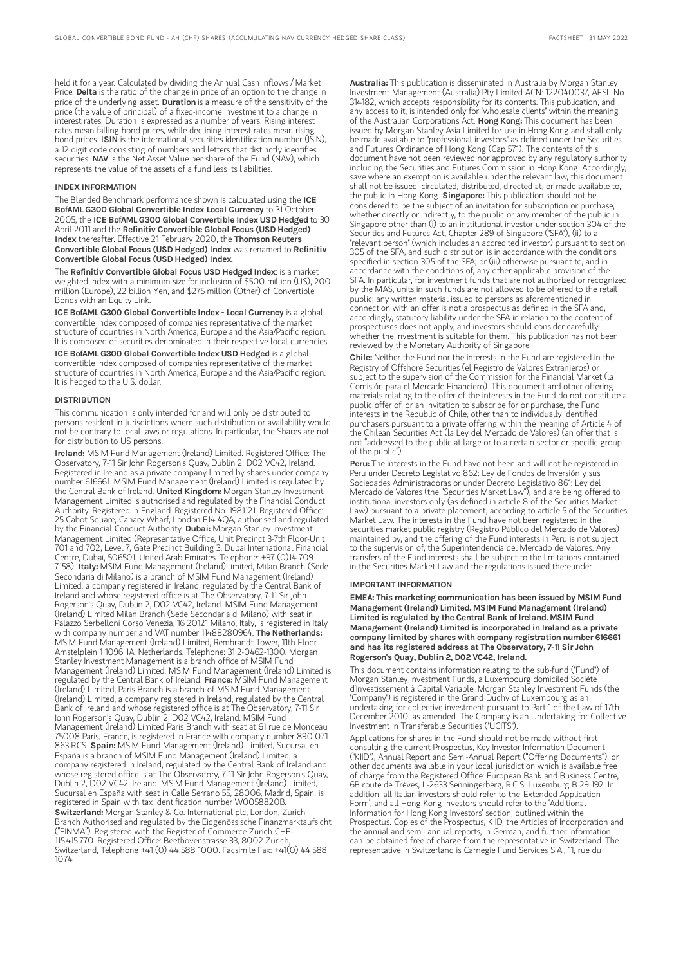held it for a year. Calculated by dividing the Annual Cash Inflows / Market Price. Delta is the ratio of the change in price of an option to the change in price of the underlying asset. Duration is a measure of the sensitivity of the price (the value of principal) of a fixed-income investment to a change in interest rates. Duration is expressed as a number of years. Rising interest rates mean falling bond prices, while declining interest rates mean rising bond prices. ISIN is the international securities identification number (ISIN), a 12 digit code consisting of numbers and letters that distinctly identifies securities. NAV is the Net Asset Value per share of the Fund (NAV), which represents the value of the assets of a fund less its liabilities.

#### INDEX INFORMATION

The Blended Benchmark performance shown is calculated using the ICE BofAML G300 Global Convertible Index Local Currency to 31 October 2005, the ICE BofAML G300 Global Convertible Index USD Hedged to 30 April 2011 and the Refinitiv Convertible Global Focus (USD Hedged) Index thereafter. Effective 21 February 2020, the Thomson Reuters Convertible Global Focus (USD Hedged) Index was renamed to Refinitiv Convertible Global Focus (USD Hedged) Index.

The Refinitiv Convertible Global Focus USD Hedged Index: is a market weighted index with a minimum size for inclusion of \$500 million (US), 200 million (Europe), 22 billion Yen, and \$275 million (Other) of Convertible Bonds with an Equity Link.

ICE BofAML G300 Global Convertible Index - Local Currency is a global convertible index composed of companies representative of the market structure of countries in North America, Europe and the Asia/Pacific region. It is composed of securities denominated in their respective local currencies.

ICE BofAML G300 Global Convertible Index USD Hedged is a global convertible index composed of companies representative of the market structure of countries in North America, Europe and the Asia/Pacific region. It is hedged to the U.S. dollar.

#### DISTRIBUTION

This communication is only intended for and will only be distributed to persons resident in jurisdictions where such distribution or availability would not be contrary to local laws or regulations. In particular, the Shares are not for distribution to US persons.

Ireland: MSIM Fund Management (Ireland) Limited. Registered Office: The Observatory, 7-11 Sir John Rogerson's Quay, Dublin 2, D02 VC42, Ireland. Registered in Ireland as a private company limited by shares under company number 616661. MSIM Fund Management (Ireland) Limited is regulated by the Central Bank of Ireland. United Kingdom: Morgan Stanley Investment Management Limited is authorised and regulated by the Financial Conduct Authority. Registered in England. Registered No. 1981121. Registered Office: 25 Cabot Square, Canary Wharf, London E14 4QA, authorised and regulated by the Financial Conduct Authority. Dubai: Morgan Stanley Investment Management Limited (Representative Office, Unit Precinct 3-7th Floor-Unit 701 and 702, Level 7, Gate Precinct Building 3, Dubai International Financial Centre, Dubai, 506501, United Arab Emirates. Telephone: +97 (0)14 709 7158). Italy: MSIM Fund Management (Ireland)Limited, Milan Branch (Sede Secondaria di Milano) is a branch of MSIM Fund Management (Ireland) Limited, a company registered in Ireland, regulated by the Central Bank of Ireland and whose registered office is at The Observatory, 7-11 Sir John Rogerson's Quay, Dublin 2, D02 VC42, Ireland. MSIM Fund Management (Ireland) Limited Milan Branch (Sede Secondaria di Milano) with seat in Palazzo Serbelloni Corso Venezia, 16 20121 Milano, Italy, is registered in Italy with company number and VAT number 11488280964. The Netherlands: MSIM Fund Management (Ireland) Limited, Rembrandt Tower, 11th Floor Amstelplein 1 1096HA, Netherlands. Telephone: 31 2-0462-1300. Morgan Stanley Investment Management is a branch office of MSIM Fund Management (Ireland) Limited. MSIM Fund Management (Ireland) Limited is regulated by the Central Bank of Ireland. France: MSIM Fund Management (Ireland) Limited, Paris Branch is a branch of MSIM Fund Management (Ireland) Limited, a company registered in Ireland, regulated by the Central Bank of Ireland and whose registered office is at The Observatory, 7-11 Sir John Rogerson's Quay, Dublin 2, D02 VC42, Ireland. MSIM Fund Management (Ireland) Limited Paris Branch with seat at 61 rue de Monceau 75008 Paris, France, is registered in France with company number 890 071 863 RCS. Spain: MSIM Fund Management (Ireland) Limited, Sucursal en España is a branch of MSIM Fund Management (Ireland) Limited, a company registered in Ireland, regulated by the Central Bank of Ireland and whose registered office is at The Observatory, 7-11 Sir John Rogerson's Quay, Dublin 2, D02 VC42, Ireland. MSIM Fund Management (Ireland) Limited, Sucursal en España with seat in Calle Serrano 55, 28006, Madrid, Spain, is registered in Spain with tax identification number W0058820B. Switzerland: Morgan Stanley & Co. International plc, London, Zurich Branch Authorised and regulated by the Eidgenössische Finanzmarktaufsicht ("FINMA"). Registered with the Register of Commerce Zurich CHE-115.415.770. Registered Office: Beethovenstrasse 33, 8002 Zurich, Switzerland, Telephone +41 (0) 44 588 1000. Facsimile Fax: +41(0) 44 588 1074.

Australia: This publication is disseminated in Australia by Morgan Stanley Investment Management (Australia) Pty Limited ACN: 122040037, AFSL No. 314182, which accepts responsibility for its contents. This publication, and any access to it, is intended only for "wholesale clients" within the meaning of the Australian Corporations Act. Hong Kong: This document has been issued by Morgan Stanley Asia Limited for use in Hong Kong and shall only be made available to "professional investors" as defined under the Securities and Futures Ordinance of Hong Kong (Cap 571). The contents of this document have not been reviewed nor approved by any regulatory authority including the Securities and Futures Commission in Hong Kong. Accordingly, save where an exemption is available under the relevant law, this document shall not be issued, circulated, distributed, directed at, or made available to, the public in Hong Kong. Singapore: This publication should not be considered to be the subject of an invitation for subscription or purchase, whether directly or indirectly, to the public or any member of the public in Singapore other than (i) to an institutional investor under section 304 of the Securities and Futures Act, Chapter 289 of Singapore ("SFA"), (ii) to a "relevant person" (which includes an accredited investor) pursuant to section 305 of the SFA, and such distribution is in accordance with the conditions specified in section 305 of the SFA; or (iii) otherwise pursuant to, and in accordance with the conditions of, any other applicable provision of the SFA. In particular, for investment funds that are not authorized or recognized by the MAS, units in such funds are not allowed to be offered to the retail public; any written material issued to persons as aforementioned in connection with an offer is not a prospectus as defined in the SFA and, accordingly, statutory liability under the SFA in relation to the content of prospectuses does not apply, and investors should consider carefully whether the investment is suitable for them. This publication has not been reviewed by the Monetary Authority of Singapore.

Chile: Neither the Fund nor the interests in the Fund are registered in the Registry of Offshore Securities (el Registro de Valores Extranjeros) or subject to the supervision of the Commission for the Financial Market (la Comisión para el Mercado Financiero). This document and other offering materials relating to the offer of the interests in the Fund do not constitute a public offer of, or an invitation to subscribe for or purchase, the Fund interests in the Republic of Chile, other than to individually identified purchasers pursuant to a private offering within the meaning of Article 4 of the Chilean Securities Act (la Ley del Mercado de Valores) (an offer that is not "addressed to the public at large or to a certain sector or specific group of the public").

Peru: The interests in the Fund have not been and will not be registered in Peru under Decreto Legislativo 862: Ley de Fondos de Inversión y sus Sociedades Administradoras or under Decreto Legislativo 861: Ley del Mercado de Valores (the "Securities Market Law"), and are being offered to institutional investors only (as defined in article 8 of the Securities Market Law) pursuant to a private placement, according to article 5 of the Securities Market Law. The interests in the Fund have not been registered in the securities market public registry (Registro Público del Mercado de Valores) maintained by, and the offering of the Fund interests in Peru is not subject to the supervision of, the Superintendencia del Mercado de Valores. Any transfers of the Fund interests shall be subject to the limitations contained in the Securities Market Law and the regulations issued thereunder.

#### IMPORTANT INFORMATION

EMEA: This marketing communication has been issued by MSIM Fund Management (Ireland) Limited. MSIM Fund Management (Ireland) Limited is regulated by the Central Bank of Ireland. MSIM Fund Management (Ireland) Limited is incorporated in Ireland as a private company limited by shares with company registration number 616661 and has its registered address at The Observatory, 7-11 Sir John Rogerson's Quay, Dublin 2, D02 VC42, Ireland.

This document contains information relating to the sub-fund ("Fund") of Morgan Stanley Investment Funds, a Luxembourg domiciled Société d'Investissement à Capital Variable. Morgan Stanley Investment Funds (the "Company") is registered in the Grand Duchy of Luxembourg as an undertaking for collective investment pursuant to Part 1 of the Law of 17th December 2010, as amended. The Company is an Undertaking for Collective Investment in Transferable Securities ("UCITS").

Applications for shares in the Fund should not be made without first consulting the current Prospectus, Key Investor Information Document ("KIID"), Annual Report and Semi-Annual Report ("Offering Documents"), or other documents available in your local jurisdiction which is available free of charge from the Registered Office: European Bank and Business Centre, 6B route de Trèves, L-2633 Senningerberg, R.C.S. Luxemburg B 29 192. In addition, all Italian investors should refer to the 'Extended Application Form', and all Hong Kong investors should refer to the 'Additional Information for Hong Kong Investors' section, outlined within the Prospectus. Copies of the Prospectus, KIID, the Articles of Incorporation and the annual and semi- annual reports, in German, and further information can be obtained free of charge from the representative in Switzerland. The representative in Switzerland is Carnegie Fund Services S.A., 11, rue du